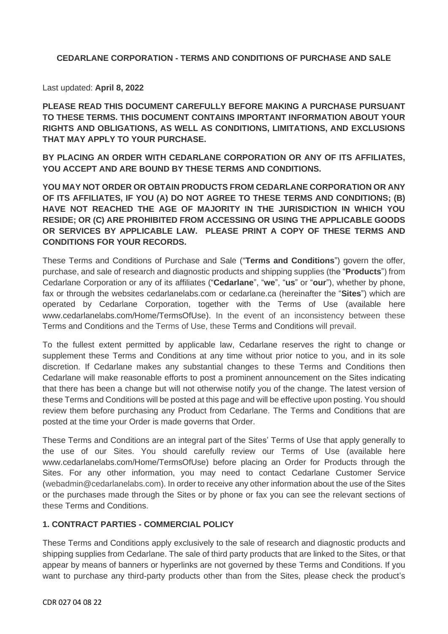# **CEDARLANE CORPORATION - TERMS AND CONDITIONS OF PURCHASE AND SALE**

Last updated: **April 8, 2022**

**PLEASE READ THIS DOCUMENT CAREFULLY BEFORE MAKING A PURCHASE PURSUANT TO THESE TERMS. THIS DOCUMENT CONTAINS IMPORTANT INFORMATION ABOUT YOUR RIGHTS AND OBLIGATIONS, AS WELL AS CONDITIONS, LIMITATIONS, AND EXCLUSIONS THAT MAY APPLY TO YOUR PURCHASE.**

**BY PLACING AN ORDER WITH CEDARLANE CORPORATION OR ANY OF ITS AFFILIATES, YOU ACCEPT AND ARE BOUND BY THESE TERMS AND CONDITIONS.**

**YOU MAY NOT ORDER OR OBTAIN PRODUCTS FROM CEDARLANE CORPORATION OR ANY OF ITS AFFILIATES, IF YOU (A) DO NOT AGREE TO THESE TERMS AND CONDITIONS; (B) HAVE NOT REACHED THE AGE OF MAJORITY IN THE JURISDICTION IN WHICH YOU RESIDE; OR (C) ARE PROHIBITED FROM ACCESSING OR USING THE APPLICABLE GOODS OR SERVICES BY APPLICABLE LAW. PLEASE PRINT A COPY OF THESE TERMS AND CONDITIONS FOR YOUR RECORDS.**

These Terms and Conditions of Purchase and Sale ("**Terms and Conditions**") govern the offer, purchase, and sale of research and diagnostic products and shipping supplies (the "**Products**") from Cedarlane Corporation or any of its affiliates ("**Cedarlane**", "**we**", "**us**" or "**our**"), whether by phone, fax or through the websites cedarlanelabs.com or cedarlane.ca (hereinafter the "**Sites**") which are operated by Cedarlane Corporation, together with the Terms of Use (available here www.cedarlanelabs.com/Home/TermsOfUse). In the event of an inconsistency between these Terms and Conditions and the Terms of Use, these Terms and Conditions will prevail.

To the fullest extent permitted by applicable law, Cedarlane reserves the right to change or supplement these Terms and Conditions at any time without prior notice to you, and in its sole discretion. If Cedarlane makes any substantial changes to these Terms and Conditions then Cedarlane will make reasonable efforts to post a prominent announcement on the Sites indicating that there has been a change but will not otherwise notify you of the change. The latest version of these Terms and Conditions will be posted at this page and will be effective upon posting. You should review them before purchasing any Product from Cedarlane. The Terms and Conditions that are posted at the time your Order is made governs that Order.

These Terms and Conditions are an integral part of the Sites' Terms of Use that apply generally to the use of our Sites. You should carefully review our Terms of Use (available here www.cedarlanelabs.com/Home/TermsOfUse) before placing an Order for Products through the Sites. For any other information, you may need to contact Cedarlane Customer Service [\(webadmin@cedarlanelabs.com\)](mailto:webadmin@cedarlanelabs.com). In order to receive any other information about the use of the Sites or the purchases made through the Sites or by phone or fax you can see the relevant sections of these Terms and Conditions.

#### **1. CONTRACT PARTIES - COMMERCIAL POLICY**

These Terms and Conditions apply exclusively to the sale of research and diagnostic products and shipping supplies from Cedarlane. The sale of third party products that are linked to the Sites, or that appear by means of banners or hyperlinks are not governed by these Terms and Conditions. If you want to purchase any third-party products other than from the Sites, please check the product's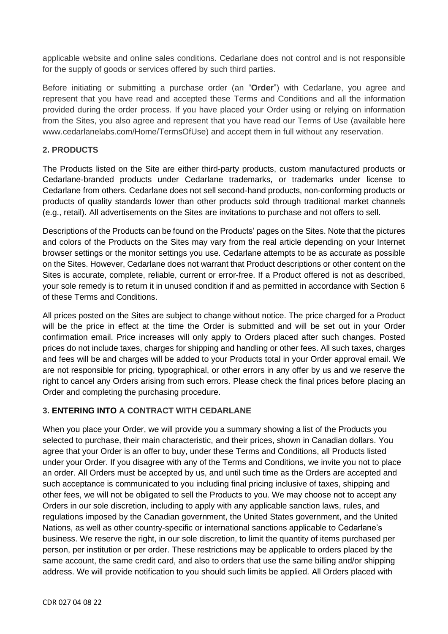applicable website and online sales conditions. Cedarlane does not control and is not responsible for the supply of goods or services offered by such third parties.

Before initiating or submitting a purchase order (an "**Order**") with Cedarlane, you agree and represent that you have read and accepted these Terms and Conditions and all the information provided during the order process. If you have placed your Order using or relying on information from the Sites, you also agree and represent that you have read our Terms of Use (available here www.cedarlanelabs.com/Home/TermsOfUse) and accept them in full without any reservation.

#### **2. PRODUCTS**

The Products listed on the Site are either third-party products, custom manufactured products or Cedarlane-branded products under Cedarlane trademarks, or trademarks under license to Cedarlane from others. Cedarlane does not sell second-hand products, non-conforming products or products of quality standards lower than other products sold through traditional market channels (e.g., retail). All advertisements on the Sites are invitations to purchase and not offers to sell.

Descriptions of the Products can be found on the Products' pages on the Sites. Note that the pictures and colors of the Products on the Sites may vary from the real article depending on your Internet browser settings or the monitor settings you use. Cedarlane attempts to be as accurate as possible on the Sites. However, Cedarlane does not warrant that Product descriptions or other content on the Sites is accurate, complete, reliable, current or error-free. If a Product offered is not as described, your sole remedy is to return it in unused condition if and as permitted in accordance with Section 6 of these Terms and Conditions.

All prices posted on the Sites are subject to change without notice. The price charged for a Product will be the price in effect at the time the Order is submitted and will be set out in your Order confirmation email. Price increases will only apply to Orders placed after such changes. Posted prices do not include taxes, charges for shipping and handling or other fees. All such taxes, charges and fees will be and charges will be added to your Products total in your Order approval email. We are not responsible for pricing, typographical, or other errors in any offer by us and we reserve the right to cancel any Orders arising from such errors. Please check the final prices before placing an Order and completing the purchasing procedure.

# **3. ENTERING INTO A CONTRACT WITH CEDARLANE**

When you place your Order, we will provide you a summary showing a list of the Products you selected to purchase, their main characteristic, and their prices, shown in Canadian dollars. You agree that your Order is an offer to buy, under these Terms and Conditions, all Products listed under your Order. If you disagree with any of the Terms and Conditions, we invite you not to place an order. All Orders must be accepted by us, and until such time as the Orders are accepted and such acceptance is communicated to you including final pricing inclusive of taxes, shipping and other fees, we will not be obligated to sell the Products to you. We may choose not to accept any Orders in our sole discretion, including to apply with any applicable sanction laws, rules, and regulations imposed by the Canadian government, the United States government, and the United Nations, as well as other country-specific or international sanctions applicable to Cedarlane's business. We reserve the right, in our sole discretion, to limit the quantity of items purchased per person, per institution or per order. These restrictions may be applicable to orders placed by the same account, the same credit card, and also to orders that use the same billing and/or shipping address. We will provide notification to you should such limits be applied. All Orders placed with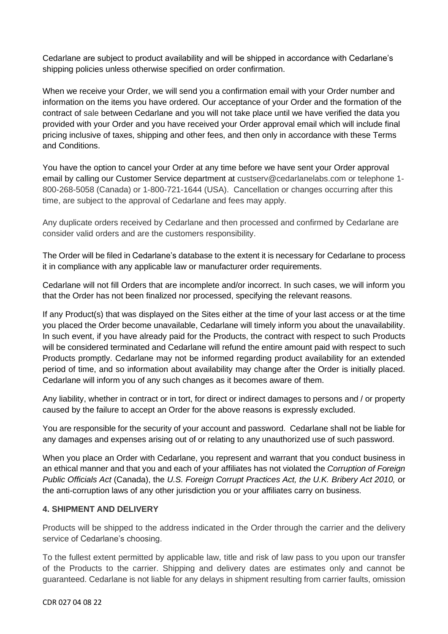Cedarlane are subject to product availability and will be shipped in accordance with Cedarlane's shipping policies unless otherwise specified on order confirmation.

When we receive your Order, we will send you a confirmation email with your Order number and information on the items you have ordered. Our acceptance of your Order and the formation of the contract of sale between Cedarlane and you will not take place until we have verified the data you provided with your Order and you have received your Order approval email which will include final pricing inclusive of taxes, shipping and other fees, and then only in accordance with these Terms and Conditions.

You have the option to cancel your Order at any time before we have sent your Order approval email by calling our Customer Service department at custserv@cedarlanelabs.com or telephone 1- 800-268-5058 (Canada) or 1-800-721-1644 (USA). Cancellation or changes occurring after this time, are subject to the approval of Cedarlane and fees may apply.

Any duplicate orders received by Cedarlane and then processed and confirmed by Cedarlane are consider valid orders and are the customers responsibility.

The Order will be filed in Cedarlane's database to the extent it is necessary for Cedarlane to process it in compliance with any applicable law or manufacturer order requirements.

Cedarlane will not fill Orders that are incomplete and/or incorrect. In such cases, we will inform you that the Order has not been finalized nor processed, specifying the relevant reasons.

If any Product(s) that was displayed on the Sites either at the time of your last access or at the time you placed the Order become unavailable, Cedarlane will timely inform you about the unavailability. In such event, if you have already paid for the Products, the contract with respect to such Products will be considered terminated and Cedarlane will refund the entire amount paid with respect to such Products promptly. Cedarlane may not be informed regarding product availability for an extended period of time, and so information about availability may change after the Order is initially placed. Cedarlane will inform you of any such changes as it becomes aware of them.

Any liability, whether in contract or in tort, for direct or indirect damages to persons and / or property caused by the failure to accept an Order for the above reasons is expressly excluded.

You are responsible for the security of your account and password. Cedarlane shall not be liable for any damages and expenses arising out of or relating to any unauthorized use of such password.

When you place an Order with Cedarlane, you represent and warrant that you conduct business in an ethical manner and that you and each of your affiliates has not violated the *Corruption of Foreign Public Officials Act* (Canada), the *U.S. Foreign Corrupt Practices Act, the U.K. Bribery Act 2010,* or the anti-corruption laws of any other jurisdiction you or your affiliates carry on business.

#### **4. SHIPMENT AND DELIVERY**

Products will be shipped to the address indicated in the Order through the carrier and the delivery service of Cedarlane's choosing.

To the fullest extent permitted by applicable law, title and risk of law pass to you upon our transfer of the Products to the carrier. Shipping and delivery dates are estimates only and cannot be guaranteed. Cedarlane is not liable for any delays in shipment resulting from carrier faults, omission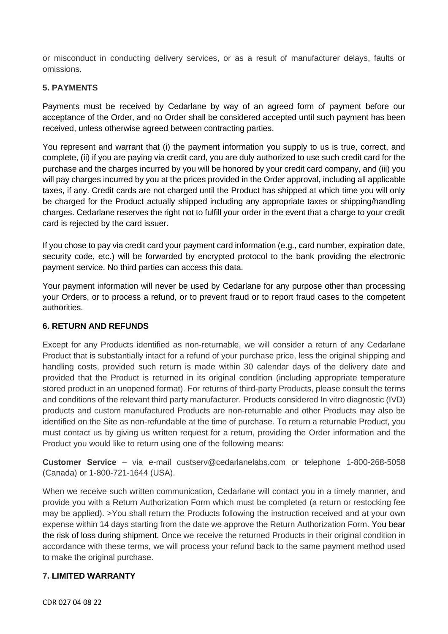or misconduct in conducting delivery services, or as a result of manufacturer delays, faults or omissions.

#### **5. PAYMENTS**

Payments must be received by Cedarlane by way of an agreed form of payment before our acceptance of the Order, and no Order shall be considered accepted until such payment has been received, unless otherwise agreed between contracting parties.

You represent and warrant that (i) the payment information you supply to us is true, correct, and complete, (ii) if you are paying via credit card, you are duly authorized to use such credit card for the purchase and the charges incurred by you will be honored by your credit card company, and (iii) you will pay charges incurred by you at the prices provided in the Order approval, including all applicable taxes, if any. Credit cards are not charged until the Product has shipped at which time you will only be charged for the Product actually shipped including any appropriate taxes or shipping/handling charges. Cedarlane reserves the right not to fulfill your order in the event that a charge to your credit card is rejected by the card issuer.

If you chose to pay via credit card your payment card information (e.g., card number, expiration date, security code, etc.) will be forwarded by encrypted protocol to the bank providing the electronic payment service. No third parties can access this data.

Your payment information will never be used by Cedarlane for any purpose other than processing your Orders, or to process a refund, or to prevent fraud or to report fraud cases to the competent authorities.

# **6. RETURN AND REFUNDS**

Except for any Products identified as non-returnable, we will consider a return of any Cedarlane Product that is substantially intact for a refund of your purchase price, less the original shipping and handling costs, provided such return is made within 30 calendar days of the delivery date and provided that the Product is returned in its original condition (including appropriate temperature stored product in an unopened format). For returns of third-party Products, please consult the terms and conditions of the relevant third party manufacturer. Products considered In vitro diagnostic (IVD) products and custom manufactured Products are non-returnable and other Products may also be identified on the Site as non-refundable at the time of purchase. To return a returnable Product, you must contact us by giving us written request for a return, providing the Order information and the Product you would like to return using one of the following means:

**Customer Service** – via e-mail custserv@cedarlanelabs.com or telephone 1-800-268-5058 (Canada) or 1-800-721-1644 (USA).

When we receive such written communication, Cedarlane will contact you in a timely manner, and provide you with a Return Authorization Form which must be completed (a return or restocking fee may be applied). >You shall return the Products following the instruction received and at your own expense within 14 days starting from the date we approve the Return Authorization Form. You bear the risk of loss during shipment. Once we receive the returned Products in their original condition in accordance with these terms, we will process your refund back to the same payment method used to make the original purchase.

#### **7. LIMITED WARRANTY**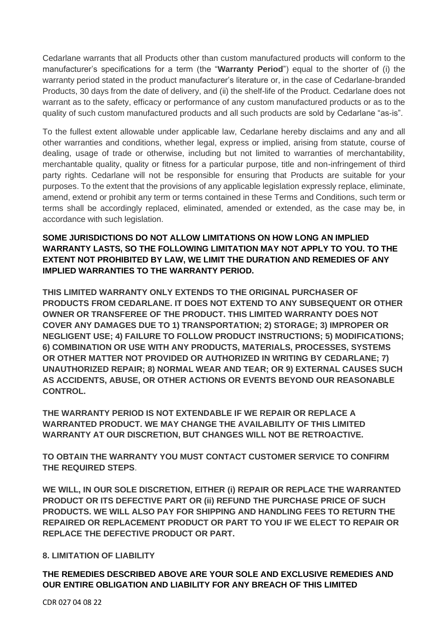Cedarlane warrants that all Products other than custom manufactured products will conform to the manufacturer's specifications for a term (the "**Warranty Period**") equal to the shorter of (i) the warranty period stated in the product manufacturer's literature or, in the case of Cedarlane-branded Products, 30 days from the date of delivery, and (ii) the shelf-life of the Product. Cedarlane does not warrant as to the safety, efficacy or performance of any custom manufactured products or as to the quality of such custom manufactured products and all such products are sold by Cedarlane "as-is".

To the fullest extent allowable under applicable law, Cedarlane hereby disclaims and any and all other warranties and conditions, whether legal, express or implied, arising from statute, course of dealing, usage of trade or otherwise, including but not limited to warranties of merchantability, merchantable quality, quality or fitness for a particular purpose, title and non-infringement of third party rights. Cedarlane will not be responsible for ensuring that Products are suitable for your purposes. To the extent that the provisions of any applicable legislation expressly replace, eliminate, amend, extend or prohibit any term or terms contained in these Terms and Conditions, such term or terms shall be accordingly replaced, eliminated, amended or extended, as the case may be, in accordance with such legislation.

**SOME JURISDICTIONS DO NOT ALLOW LIMITATIONS ON HOW LONG AN IMPLIED WARRANTY LASTS, SO THE FOLLOWING LIMITATION MAY NOT APPLY TO YOU. TO THE EXTENT NOT PROHIBITED BY LAW, WE LIMIT THE DURATION AND REMEDIES OF ANY IMPLIED WARRANTIES TO THE WARRANTY PERIOD.**

**THIS LIMITED WARRANTY ONLY EXTENDS TO THE ORIGINAL PURCHASER OF PRODUCTS FROM CEDARLANE. IT DOES NOT EXTEND TO ANY SUBSEQUENT OR OTHER OWNER OR TRANSFEREE OF THE PRODUCT. THIS LIMITED WARRANTY DOES NOT COVER ANY DAMAGES DUE TO 1) TRANSPORTATION; 2) STORAGE; 3) IMPROPER OR NEGLIGENT USE; 4) FAILURE TO FOLLOW PRODUCT INSTRUCTIONS; 5) MODIFICATIONS; 6) COMBINATION OR USE WITH ANY PRODUCTS, MATERIALS, PROCESSES, SYSTEMS OR OTHER MATTER NOT PROVIDED OR AUTHORIZED IN WRITING BY CEDARLANE; 7) UNAUTHORIZED REPAIR; 8) NORMAL WEAR AND TEAR; OR 9) EXTERNAL CAUSES SUCH AS ACCIDENTS, ABUSE, OR OTHER ACTIONS OR EVENTS BEYOND OUR REASONABLE CONTROL.** 

**THE WARRANTY PERIOD IS NOT EXTENDABLE IF WE REPAIR OR REPLACE A WARRANTED PRODUCT. WE MAY CHANGE THE AVAILABILITY OF THIS LIMITED WARRANTY AT OUR DISCRETION, BUT CHANGES WILL NOT BE RETROACTIVE.**

**TO OBTAIN THE WARRANTY YOU MUST CONTACT CUSTOMER SERVICE TO CONFIRM THE REQUIRED STEPS**.

**WE WILL, IN OUR SOLE DISCRETION, EITHER (i) REPAIR OR REPLACE THE WARRANTED PRODUCT OR ITS DEFECTIVE PART OR (ii) REFUND THE PURCHASE PRICE OF SUCH PRODUCTS. WE WILL ALSO PAY FOR SHIPPING AND HANDLING FEES TO RETURN THE REPAIRED OR REPLACEMENT PRODUCT OR PART TO YOU IF WE ELECT TO REPAIR OR REPLACE THE DEFECTIVE PRODUCT OR PART.**

# **8. LIMITATION OF LIABILITY**

**THE REMEDIES DESCRIBED ABOVE ARE YOUR SOLE AND EXCLUSIVE REMEDIES AND OUR ENTIRE OBLIGATION AND LIABILITY FOR ANY BREACH OF THIS LIMITED** 

CDR 027 04 08 22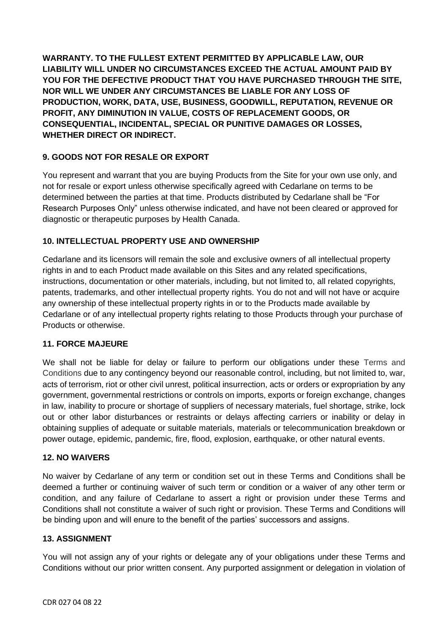**WARRANTY. TO THE FULLEST EXTENT PERMITTED BY APPLICABLE LAW, OUR LIABILITY WILL UNDER NO CIRCUMSTANCES EXCEED THE ACTUAL AMOUNT PAID BY YOU FOR THE DEFECTIVE PRODUCT THAT YOU HAVE PURCHASED THROUGH THE SITE, NOR WILL WE UNDER ANY CIRCUMSTANCES BE LIABLE FOR ANY LOSS OF PRODUCTION, WORK, DATA, USE, BUSINESS, GOODWILL, REPUTATION, REVENUE OR PROFIT, ANY DIMINUTION IN VALUE, COSTS OF REPLACEMENT GOODS, OR CONSEQUENTIAL, INCIDENTAL, SPECIAL OR PUNITIVE DAMAGES OR LOSSES, WHETHER DIRECT OR INDIRECT.**

# **9. GOODS NOT FOR RESALE OR EXPORT**

You represent and warrant that you are buying Products from the Site for your own use only, and not for resale or export unless otherwise specifically agreed with Cedarlane on terms to be determined between the parties at that time. Products distributed by Cedarlane shall be "For Research Purposes Only" unless otherwise indicated, and have not been cleared or approved for diagnostic or therapeutic purposes by Health Canada.

# **10. INTELLECTUAL PROPERTY USE AND OWNERSHIP**

Cedarlane and its licensors will remain the sole and exclusive owners of all intellectual property rights in and to each Product made available on this Sites and any related specifications, instructions, documentation or other materials, including, but not limited to, all related copyrights, patents, trademarks, and other intellectual property rights. You do not and will not have or acquire any ownership of these intellectual property rights in or to the Products made available by Cedarlane or of any intellectual property rights relating to those Products through your purchase of Products or otherwise.

# **11. FORCE MAJEURE**

We shall not be liable for delay or failure to perform our obligations under these Terms and Conditions due to any contingency beyond our reasonable control, including, but not limited to, war, acts of terrorism, riot or other civil unrest, political insurrection, acts or orders or expropriation by any government, governmental restrictions or controls on imports, exports or foreign exchange, changes in law, inability to procure or shortage of suppliers of necessary materials, fuel shortage, strike, lock out or other labor disturbances or restraints or delays affecting carriers or inability or delay in obtaining supplies of adequate or suitable materials, materials or telecommunication breakdown or power outage, epidemic, pandemic, fire, flood, explosion, earthquake, or other natural events.

# **12. NO WAIVERS**

No waiver by Cedarlane of any term or condition set out in these Terms and Conditions shall be deemed a further or continuing waiver of such term or condition or a waiver of any other term or condition, and any failure of Cedarlane to assert a right or provision under these Terms and Conditions shall not constitute a waiver of such right or provision. These Terms and Conditions will be binding upon and will enure to the benefit of the parties' successors and assigns.

# **13. ASSIGNMENT**

You will not assign any of your rights or delegate any of your obligations under these Terms and Conditions without our prior written consent. Any purported assignment or delegation in violation of